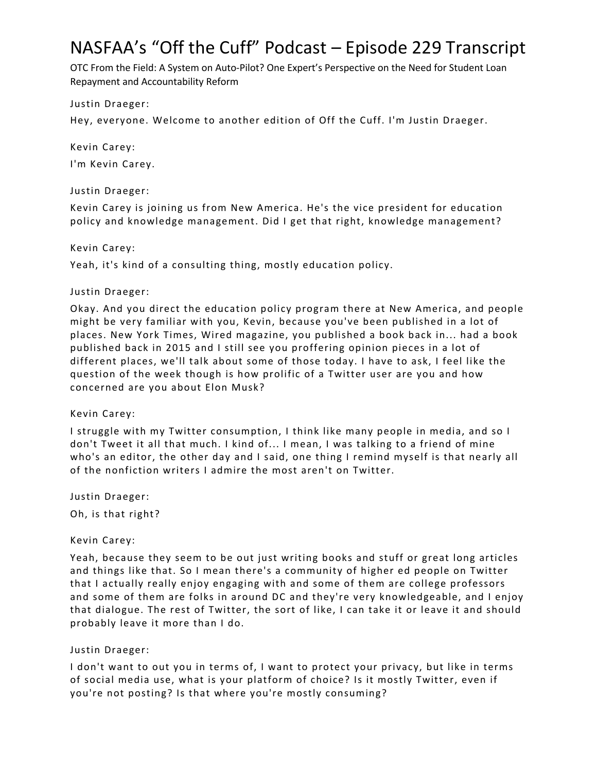# NASFAA's "Off the Cuff" Podcast – Episode 229 Transcript

OTC From the Field: A System on Auto-Pilot? One Expert's Perspective on the Need for Student Loan Repayment and Accountability Reform

Justin Draeger:

Hey, everyone. Welcome to another edition of Off the Cuff. I'm Justin Draeger.

Kevin Carey: I'm Kevin Carey.

# Justin Draeger:

Kevin Carey is joining us from New America. He's the vice president for education policy and knowledge management. Did I get that right, knowledge management?

Kevin Carey:

Yeah, it's kind of a consulting thing, mostly education policy.

# Justin Draeger:

Okay. And you direct the education policy program there at New America, and people might be very familiar with you, Kevin, because you've been published in a lot of places. New York Times, Wired magazine, you published a book back in... had a book published back in 2015 and I still see you proffering opinion pieces in a lot of different places, we'll talk about some of those today. I have to ask, I feel like the question of the week though is how prolific of a Twitter user are you and how concerned are you about Elon Musk?

#### Kevin Carey:

I struggle with my Twitter consumption, I think like many people in media, and so I don't Tweet it all that much. I kind of... I mean, I was talking to a friend of mine who's an editor, the other day and I said, one thing I remind myself is that nearly all of the nonfiction writers I admire the most aren't on Twitter.

Justin Draeger:

Oh, is that right?

# Kevin Carey:

Yeah, because they seem to be out just writing books and stuff or great long articles and things like that. So I mean there's a community of higher ed people on Twitter that I actually really enjoy engaging with and some of them are college professors and some of them are folks in around DC and they're very knowledgeable, and I enjoy that dialogue. The rest of Twitter, the sort of like, I can take it or leave it and should probably leave it more than I do.

# Justin Draeger:

I don't want to out you in terms of, I want to protect your privacy, but like in terms of social media use, what is your platform of choice? Is it mostly Twitter, even if you're not posting? Is that where you're mostly consuming?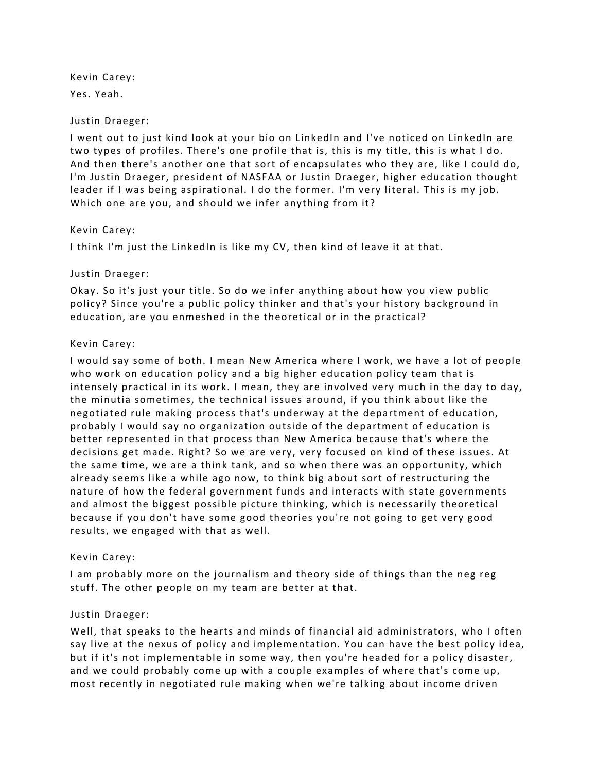Kevin Carey: Yes. Yeah.

# Justin Draeger:

I went out to just kind look at your bio on LinkedIn and I've noticed on LinkedIn are two types of profiles. There's one profile that is, this is my title, this is what I do. And then there's another one that sort of encapsulates who they are, like I could do, I'm Justin Draeger, president of NASFAA or Justin Draeger, higher education thought leader if I was being aspirational. I do the former. I'm very literal. This is my job. Which one are you, and should we infer anything from it?

# Kevin Carey:

I think I'm just the LinkedIn is like my CV, then kind of leave it at that.

# Justin Draeger:

Okay. So it's just your title. So do we infer anything about how you view public policy? Since you're a public policy thinker and that's your history background in education, are you enmeshed in the theoretical or in the practical?

# Kevin Carey:

I would say some of both. I mean New America where I work, we have a lot of people who work on education policy and a big higher education policy team that is intensely practical in its work. I mean, they are involved very much in the day to day, the minutia sometimes, the technical issues around, if you think about like the negotiated rule making process that's underway at the department of education, probably I would say no organization outside of the department of education is better represented in that process than New America because that's where the decisions get made. Right? So we are very, very focused on kind of these issues. At the same time, we are a think tank, and so when there was an opportunity, which already seems like a while ago now, to think big about sort of restructuring the nature of how the federal government funds and interacts with state governments and almost the biggest possible picture thinking, which is necessarily theoretical because if you don't have some good theories you're not going to get very good results, we engaged with that as well.

#### Kevin Carey:

I am probably more on the journalism and theory side of things than the neg reg stuff. The other people on my team are better at that.

# Justin Draeger:

Well, that speaks to the hearts and minds of financial aid administrators, who I often say live at the nexus of policy and implementation. You can have the best policy idea, but if it's not implementable in some way, then you're headed for a policy disaster, and we could probably come up with a couple examples of where that's come up, most recently in negotiated rule making when we're talking about income driven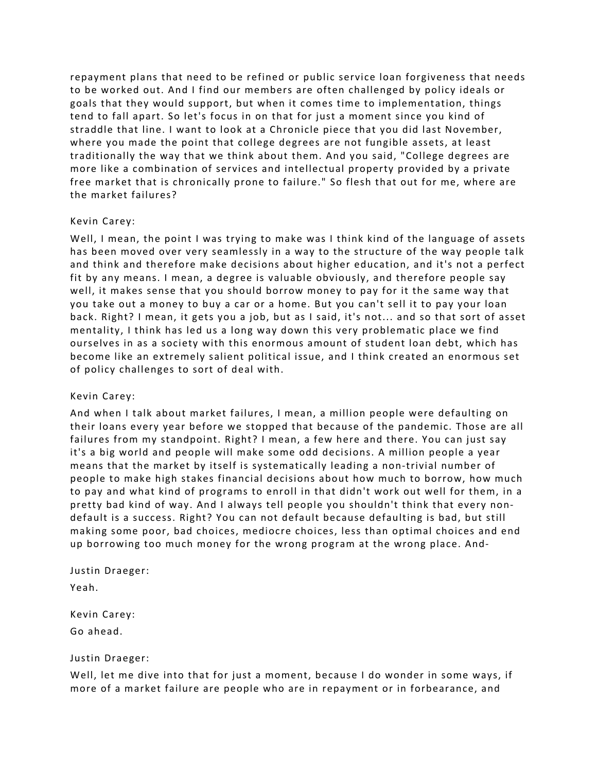repayment plans that need to be refined or public service loan forgiveness that needs to be worked out. And I find our members are often challenged by policy ideals or goals that they would support, but when it comes time to implementation, things tend to fall apart. So let's focus in on that for just a moment since you kind of straddle that line. I want to look at a Chronicle piece that you did last November, where you made the point that college degrees are not fungible assets, at least traditionally the way that we think about them. And you said, "College degrees are more like a combination of services and intellectual property provided by a private free market that is chronically prone to failure." So flesh that out for me, where are the market failures?

#### Kevin Carey:

Well, I mean, the point I was trying to make was I think kind of the language of assets has been moved over very seamlessly in a way to the structure of the way people talk and think and therefore make decisions about higher education, and it's not a perfect fit by any means. I mean, a degree is valuable obviously, and therefore people say well, it makes sense that you should borrow money to pay for it the same way that you take out a money to buy a car or a home. But you can't sell it to pay your loan back. Right? I mean, it gets you a job, but as I said, it's not... and so that sort of asset mentality, I think has led us a long way down this very problematic place we find ourselves in as a society with this enormous amount of student loan debt, which has become like an extremely salient political issue, and I think created an enormous set of policy challenges to sort of deal with.

# Kevin Carey:

And when I talk about market failures, I mean, a million people were defaulting on their loans every year before we stopped that because of the pandemic. Those are all failures from my standpoint. Right? I mean, a few here and there. You can just say it's a big world and people will make some odd decisions. A million people a year means that the market by itself is systematically leading a non-trivial number of people to make high stakes financial decisions about how much to borrow, how much to pay and what kind of programs to enroll in that didn't work out well for them, in a pretty bad kind of way. And I always tell people you shouldn't think that every nondefault is a success. Right? You can not default because defaulting is bad, but still making some poor, bad choices, mediocre choices, less than optimal choices and end up borrowing too much money for the wrong program at the wrong place. And-

# Justin Draeger:

Yeah.

Kevin Carey: Go ahead.

#### Justin Draeger:

Well, let me dive into that for just a moment, because I do wonder in some ways, if more of a market failure are people who are in repayment or in forbearance, and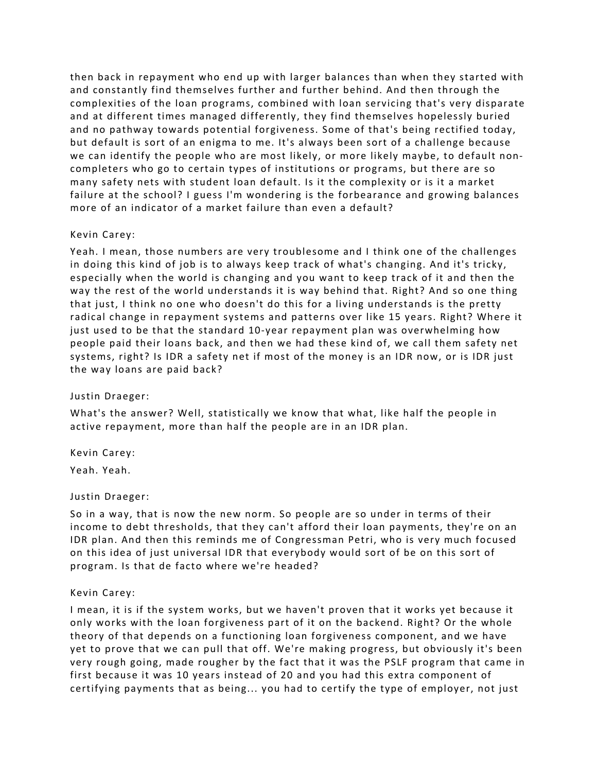then back in repayment who end up with larger balances than when they started with and constantly find themselves further and further behind. And then through the complexities of the loan programs, combined with loan servicing that's very disparate and at different times managed differently, they find themselves hopelessly buried and no pathway towards potential forgiveness. Some of that's being rectified today, but default is sort of an enigma to me. It's always been sort of a challenge because we can identify the people who are most likely, or more likely maybe, to default noncompleters who go to certain types of institutions or programs, but there are so many safety nets with student loan default. Is it the complexity or is it a market failure at the school? I guess I'm wondering is the forbearance and growing balances more of an indicator of a market failure than even a default?

#### Kevin Carey:

Yeah. I mean, those numbers are very troublesome and I think one of the challenges in doing this kind of job is to always keep track of what's changing. And it's tricky, especially when the world is changing and you want to keep track of it and then the way the rest of the world understands it is way behind that. Right? And so one thing that just, I think no one who doesn't do this for a living understands is the pretty radical change in repayment systems and patterns over like 15 years. Right? Where it just used to be that the standard 10-year repayment plan was overwhelming how people paid their loans back, and then we had these kind of, we call them safety net systems, right? Is IDR a safety net if most of the money is an IDR now, or is IDR just the way loans are paid back?

#### Justin Draeger:

What's the answer? Well, statistically we know that what, like half the people in active repayment, more than half the people are in an IDR plan.

Kevin Carey:

Yeah. Yeah.

#### Justin Draeger:

So in a way, that is now the new norm. So people are so under in terms of their income to debt thresholds, that they can't afford their loan payments, they're on an IDR plan. And then this reminds me of Congressman Petri, who is very much focused on this idea of just universal IDR that everybody would sort of be on this sort of program. Is that de facto where we're headed?

#### Kevin Carey:

I mean, it is if the system works, but we haven't proven that it works yet because it only works with the loan forgiveness part of it on the backend. Right? Or the whole theory of that depends on a functioning loan forgiveness component, and we have yet to prove that we can pull that off. We're making progress, but obviously it's been very rough going, made rougher by the fact that it was the PSLF program that came in first because it was 10 years instead of 20 and you had this extra component of certifying payments that as being... you had to certify the type of employer, not just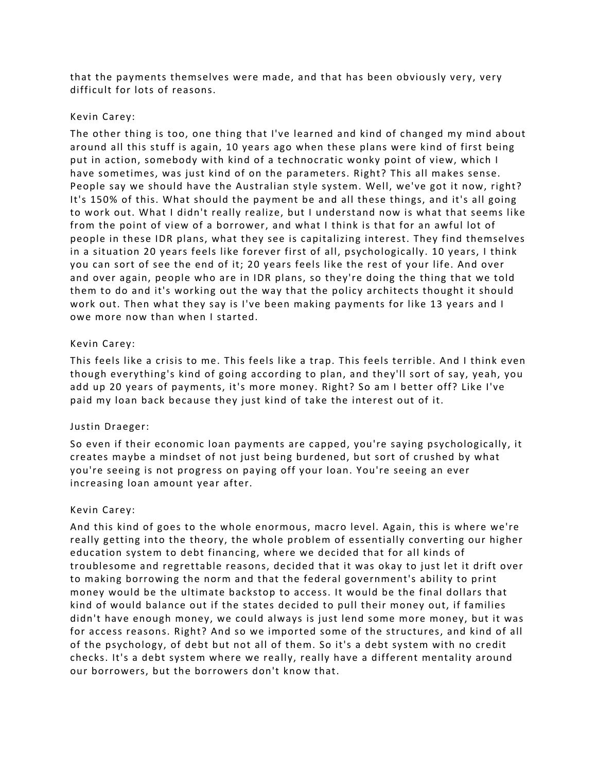that the payments themselves were made, and that has been obviously very, very difficult for lots of reasons.

## Kevin Carey:

The other thing is too, one thing that I've learned and kind of changed my mind about around all this stuff is again, 10 years ago when these plans were kind of first being put in action, somebody with kind of a technocratic wonky point of view, which I have sometimes, was just kind of on the parameters. Right? This all makes sense. People say we should have the Australian style system. Well, we've got it now, right? It's 150% of this. What should the payment be and all these things, and it's all going to work out. What I didn't really realize, but I understand now is what that seems like from the point of view of a borrower, and what I think is that for an awful lot of people in these IDR plans, what they see is capitalizing interest. They find themselves in a situation 20 years feels like forever first of all, psychologically. 10 years, I think you can sort of see the end of it; 20 years feels like the rest of your life. And over and over again, people who are in IDR plans, so they're doing the thing that we told them to do and it's working out the way that the policy architects thought it should work out. Then what they say is I've been making payments for like 13 years and I owe more now than when I started.

# Kevin Carey:

This feels like a crisis to me. This feels like a trap. This feels terrible. And I think even though everything's kind of going according to plan, and they'll sort of say, yeah, you add up 20 years of payments, it's more money. Right? So am I better off? Like I've paid my loan back because they just kind of take the interest out of it.

# Justin Draeger:

So even if their economic loan payments are capped, you're saying psychologically, it creates maybe a mindset of not just being burdened, but sort of crushed by what you're seeing is not progress on paying off your loan. You're seeing an ever increasing loan amount year after.

#### Kevin Carey:

And this kind of goes to the whole enormous, macro level. Again, this is where we're really getting into the theory, the whole problem of essentially converting our higher education system to debt financing, where we decided that for all kinds of troublesome and regrettable reasons, decided that it was okay to just let it drift over to making borrowing the norm and that the federal government's ability to print money would be the ultimate backstop to access. It would be the final dollars that kind of would balance out if the states decided to pull their money out, if families didn't have enough money, we could always is just lend some more money, but it was for access reasons. Right? And so we imported some of the structures, and kind of all of the psychology, of debt but not all of them. So it's a debt system with no credit checks. It's a debt system where we really, really have a different mentality around our borrowers, but the borrowers don't know that.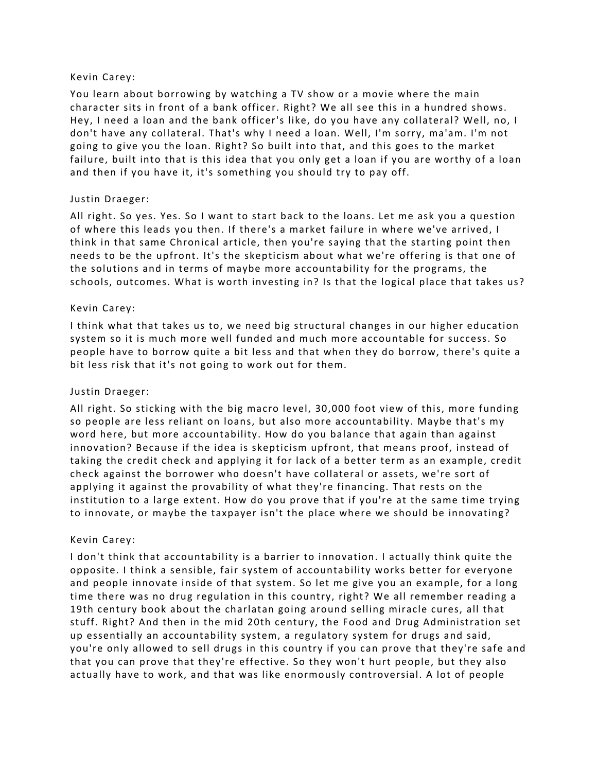## Kevin Carey:

You learn about borrowing by watching a TV show or a movie where the main character sits in front of a bank officer. Right? We all see this in a hundred shows. Hey, I need a loan and the bank officer's like, do you have any collateral? Well, no, I don't have any collateral. That's why I need a loan. Well, I'm sorry, ma'am. I'm not going to give you the loan. Right? So built into that, and this goes to the market failure, built into that is this idea that you only get a loan if you are worthy of a loan and then if you have it, it's something you should try to pay off.

# Justin Draeger:

All right. So yes. Yes. So I want to start back to the loans. Let me ask you a question of where this leads you then. If there's a market failure in where we've arrived, I think in that same Chronical article, then you're saying that the starting point then needs to be the upfront. It's the skepticism about what we're offering is that one of the solutions and in terms of maybe more accountability for the programs, the schools, outcomes. What is worth investing in? Is that the logical place that takes us?

# Kevin Carey:

I think what that takes us to, we need big structural changes in our higher education system so it is much more well funded and much more accountable for success. So people have to borrow quite a bit less and that when they do borrow, there's quite a bit less risk that it's not going to work out for them.

## Justin Draeger:

All right. So sticking with the big macro level, 30,000 foot view of this, more funding so people are less reliant on loans, but also more accountability. Maybe that's my word here, but more accountability. How do you balance that again than against innovation? Because if the idea is skepticism upfront, that means proof, instead of taking the credit check and applying it for lack of a better term as an example, credit check against the borrower who doesn't have collateral or assets, we're sort of applying it against the provability of what they're financing. That rests on the institution to a large extent. How do you prove that if you're at the same time trying to innovate, or maybe the taxpayer isn't the place where we should be innovating?

#### Kevin Carey:

I don't think that accountability is a barrier to innovation. I actually think quite the opposite. I think a sensible, fair system of accountability works better for everyone and people innovate inside of that system. So let me give you an example, for a long time there was no drug regulation in this country, right? We all remember reading a 19th century book about the charlatan going around selling miracle cures, all that stuff. Right? And then in the mid 20th century, the Food and Drug Administration set up essentially an accountability system, a regulatory system for drugs and said, you're only allowed to sell drugs in this country if you can prove that they're safe and that you can prove that they're effective. So they won't hurt people, but they also actually have to work, and that was like enormously controversial. A lot of people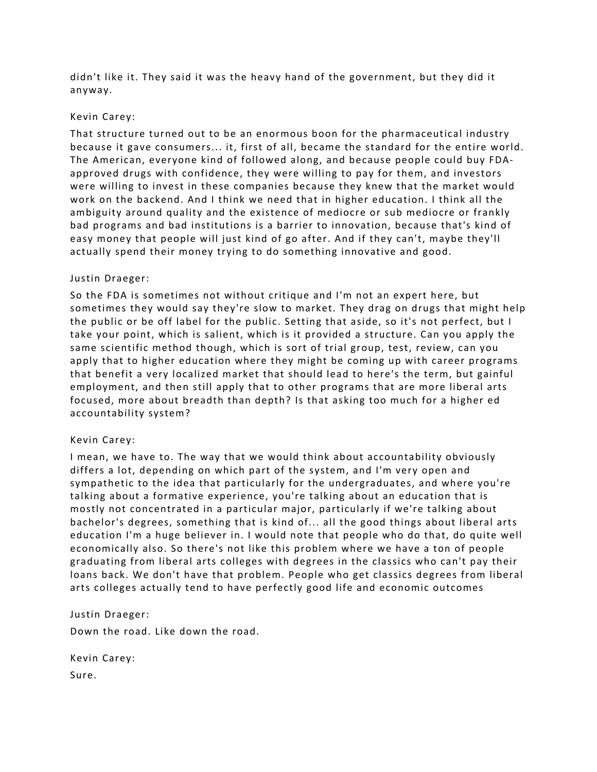didn't like it. They said it was the heavy hand of the government, but they did it anyway.

#### Kevin Carey:

That structure turned out to be an enormous boon for the pharmaceutical industry because it gave consumers... it, first of all, became the standard for the entire world. The American, everyone kind of followed along, and because people could buy FDAapproved drugs with confidence, they were willing to pay for them, and investors were willing to invest in these companies because they knew that the market would work on the backend. And I think we need that in higher education. I think all the ambiguity around quality and the existence of mediocre or sub mediocre or frankly bad programs and bad institutions is a barrier to innovation, because that's kind of easy money that people will just kind of go after. And if they can't, maybe they'll actually spend their money trying to do something innovative and good.

# Justin Draeger:

So the FDA is sometimes not without critique and I'm not an expert here, but sometimes they would say they're slow to market. They drag on drugs that might help the public or be off label for the public. Setting that aside, so it's not perfect, but I take your point, which is salient, which is it provided a structure. Can you apply the same scientific method though, which is sort of trial group, test, review, can you apply that to higher education where they might be coming up with career programs that benefit a very localized market that should lead to here's the term, but gainful employment, and then still apply that to other programs that are more liberal arts focused, more about breadth than depth? Is that asking too much for a higher ed accountability system?

# Kevin Carey:

I mean, we have to. The way that we would think about accountability obviously differs a lot, depending on which part of the system, and I'm very open and sympathetic to the idea that particularly for the undergraduates, and where you're talking about a formative experience, you're talking about an education that is mostly not concentrated in a particular major, particularly if we're talking about bachelor's degrees, something that is kind of... all the good things about liberal arts education I'm a huge believer in. I would note that people who do that, do quite well economically also. So there's not like this problem where we have a ton of people graduating from liberal arts colleges with degrees in the classics who can't pay their loans back. We don't have that problem. People who get classics degrees from liberal arts colleges actually tend to have perfectly good life and economic outcomes

Justin Draeger:

Down the road. Like down the road.

Kevin Carey: Sure.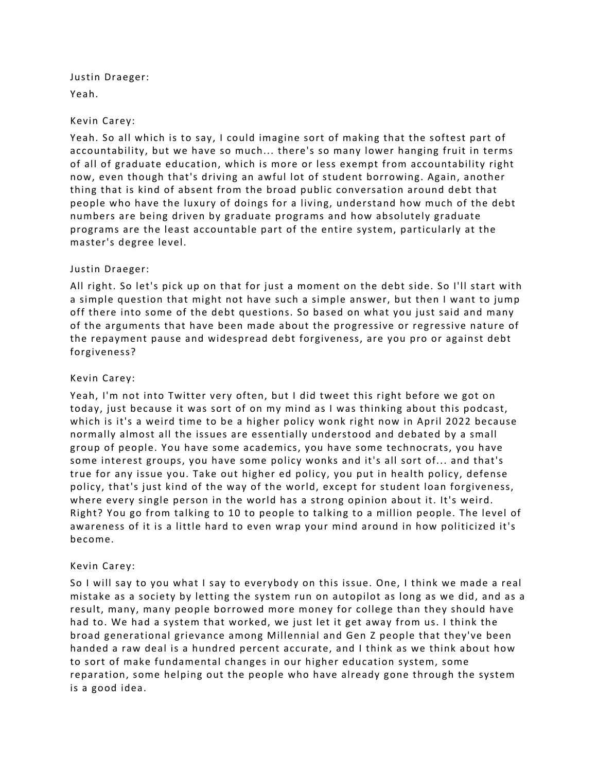Justin Draeger: Yeah.

#### Kevin Carey:

Yeah. So all which is to say, I could imagine sort of making that the softest part of accountability, but we have so much... there's so many lower hanging fruit in terms of all of graduate education, which is more or less exempt from accountability right now, even though that's driving an awful lot of student borrowing. Again, another thing that is kind of absent from the broad public conversation around debt that people who have the luxury of doings for a living, understand how much of the debt numbers are being driven by graduate programs and how absolutely graduate programs are the least accountable part of the entire system, particularly at the master's degree level.

#### Justin Draeger:

All right. So let's pick up on that for just a moment on the debt side. So I'll start with a simple question that might not have such a simple answer, but then I want to jump off there into some of the debt questions. So based on what you just said and many of the arguments that have been made about the progressive or regressive nature of the repayment pause and widespread debt forgiveness, are you pro or against debt forgiveness?

#### Kevin Carey:

Yeah, I'm not into Twitter very often, but I did tweet this right before we got on today, just because it was sort of on my mind as I was thinking about this podcast, which is it's a weird time to be a higher policy wonk right now in April 2022 because normally almost all the issues are essentially understood and debated by a small group of people. You have some academics, you have some technocrats, you have some interest groups, you have some policy wonks and it's all sort of... and that's true for any issue you. Take out higher ed policy, you put in health policy, defense policy, that's just kind of the way of the world, except for student loan forgiveness, where every single person in the world has a strong opinion about it. It's weird. Right? You go from talking to 10 to people to talking to a million people. The level of awareness of it is a little hard to even wrap your mind around in how politicized it's become.

#### Kevin Carey:

So I will say to you what I say to everybody on this issue. One, I think we made a real mistake as a society by letting the system run on autopilot as long as we did, and as a result, many, many people borrowed more money for college than they should have had to. We had a system that worked, we just let it get away from us. I think the broad generational grievance among Millennial and Gen Z people that they've been handed a raw deal is a hundred percent accurate, and I think as we think about how to sort of make fundamental changes in our higher education system, some reparation, some helping out the people who have already gone through the system is a good idea.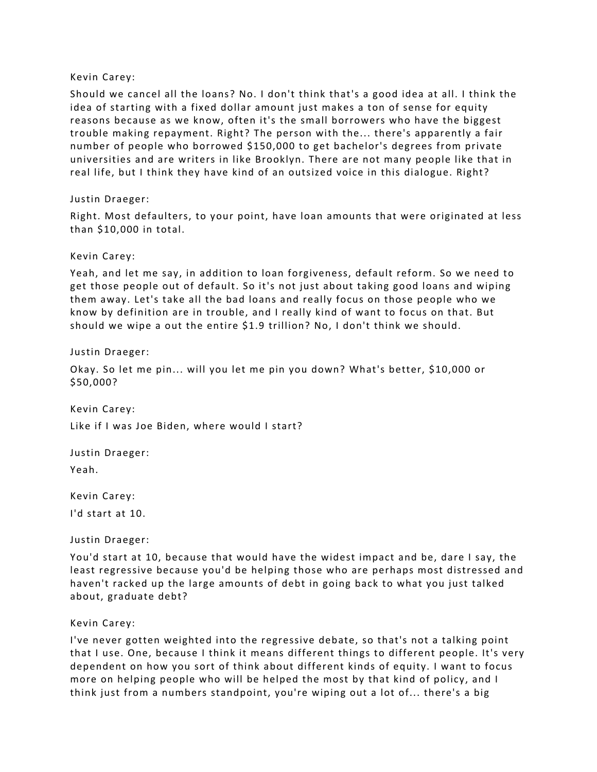#### Kevin Carey:

Should we cancel all the loans? No. I don't think that's a good idea at all. I think the idea of starting with a fixed dollar amount just makes a ton of sense for equity reasons because as we know, often it's the small borrowers who have the biggest trouble making repayment. Right? The person with the... there's apparently a fair number of people who borrowed \$150,000 to get bachelor's degrees from private universities and are writers in like Brooklyn. There are not many people like that in real life, but I think they have kind of an outsized voice in this dialogue. Right?

# Justin Draeger:

Right. Most defaulters, to your point, have loan amounts that were originated at less than \$10,000 in total.

# Kevin Carey:

Yeah, and let me say, in addition to loan forgiveness, default reform. So we need to get those people out of default. So it's not just about taking good loans and wiping them away. Let's take all the bad loans and really focus on those people who we know by definition are in trouble, and I really kind of want to focus on that. But should we wipe a out the entire \$1.9 trillion? No, I don't think we should.

#### Justin Draeger:

Okay. So let me pin... will you let me pin you down? What's better, \$10,000 or \$50,000?

Kevin Carey: Like if I was Joe Biden, where would I start?

Justin Draeger: Yeah.

Kevin Carey: I'd start at 10.

Justin Draeger:

You'd start at 10, because that would have the widest impact and be, dare I say, the least regressive because you'd be helping those who are perhaps most distressed and haven't racked up the large amounts of debt in going back to what you just talked about, graduate debt?

#### Kevin Carey:

I've never gotten weighted into the regressive debate, so that's not a talking point that I use. One, because I think it means different things to different people. It's very dependent on how you sort of think about different kinds of equity. I want to focus more on helping people who will be helped the most by that kind of policy, and I think just from a numbers standpoint, you're wiping out a lot of... there's a big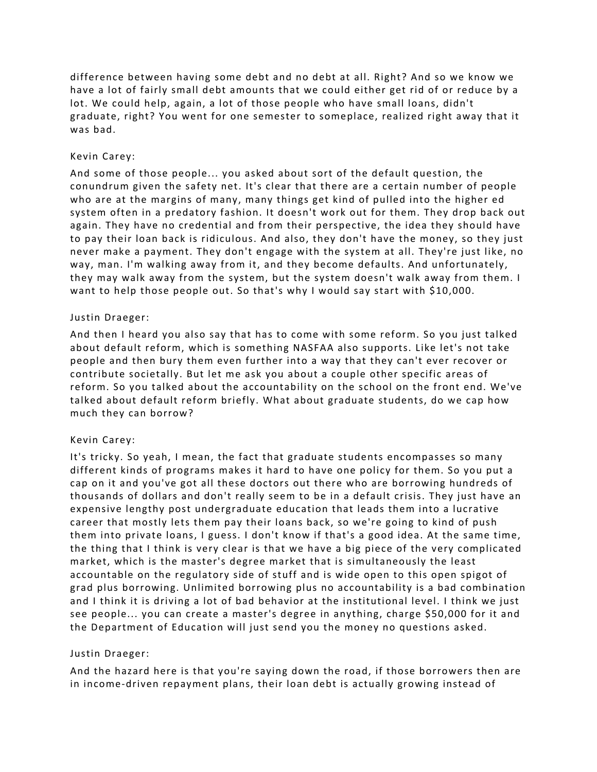difference between having some debt and no debt at all. Right? And so we know we have a lot of fairly small debt amounts that we could either get rid of or reduce by a lot. We could help, again, a lot of those people who have small loans, didn't graduate, right? You went for one semester to someplace, realized right away that it was bad.

# Kevin Carey:

And some of those people... you asked about sort of the default question, the conundrum given the safety net. It's clear that there are a certain number of people who are at the margins of many, many things get kind of pulled into the higher ed system often in a predatory fashion. It doesn't work out for them. They drop back out again. They have no credential and from their perspective, the idea they should have to pay their loan back is ridiculous. And also, they don't have the money, so they just never make a payment. They don't engage with the system at all. They're just like, no way, man. I'm walking away from it, and they become defaults. And unfortunately, they may walk away from the system, but the system doesn't walk away from them. I want to help those people out. So that's why I would say start with \$10,000.

#### Justin Draeger:

And then I heard you also say that has to come with some reform. So you just talked about default reform, which is something NASFAA also supports. Like let's not take people and then bury them even further into a way that they can't ever recover or contribute societally. But let me ask you about a couple other specific areas of reform. So you talked about the accountability on the school on the front end. We've talked about default reform briefly. What about graduate students, do we cap how much they can borrow?

# Kevin Carey:

It's tricky. So yeah, I mean, the fact that graduate students encompasses so many different kinds of programs makes it hard to have one policy for them. So you put a cap on it and you've got all these doctors out there who are borrowing hundreds of thousands of dollars and don't really seem to be in a default crisis. They just have an expensive lengthy post undergraduate education that leads them into a lucrative career that mostly lets them pay their loans back, so we're going to kind of push them into private loans, I guess. I don't know if that's a good idea. At the same time, the thing that I think is very clear is that we have a big piece of the very complicated market, which is the master's degree market that is simultaneously the least accountable on the regulatory side of stuff and is wide open to this open spigot of grad plus borrowing. Unlimited borrowing plus no accountability is a bad combination and I think it is driving a lot of bad behavior at the institutional level. I think we just see people... you can create a master's degree in anything, charge \$50,000 for it and the Department of Education will just send you the money no questions asked.

#### Justin Draeger:

And the hazard here is that you're saying down the road, if those borrowers then are in income-driven repayment plans, their loan debt is actually growing instead of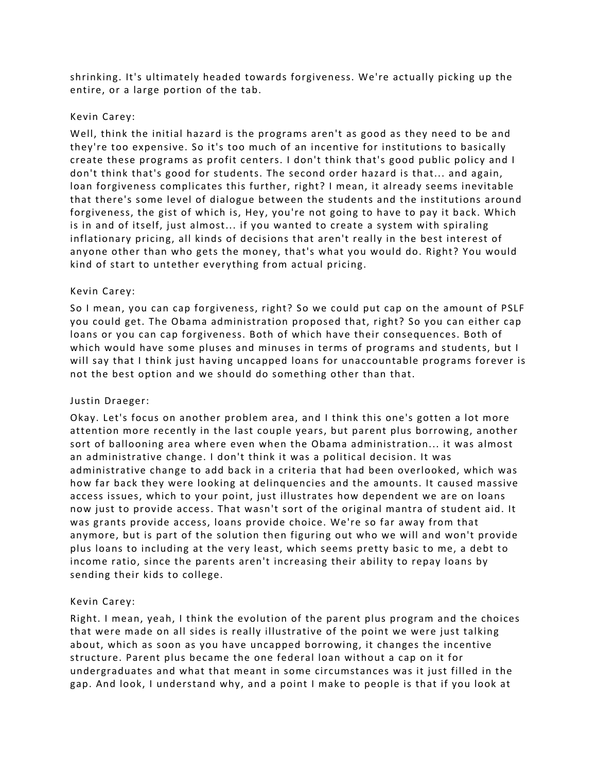shrinking. It's ultimately headed towards forgiveness. We're actually picking up the entire, or a large portion of the tab.

# Kevin Carey:

Well, think the initial hazard is the programs aren't as good as they need to be and they're too expensive. So it's too much of an incentive for institutions to basically create these programs as profit centers. I don't think that's good public policy and I don't think that's good for students. The second order hazard is that... and again, loan forgiveness complicates this further, right? I mean, it already seems inevitable that there's some level of dialogue between the students and the institutions around forgiveness, the gist of which is, Hey, you're not going to have to pay it back. Which is in and of itself, just almost... if you wanted to create a system with spiraling inflationary pricing, all kinds of decisions that aren't really in the best interest of anyone other than who gets the money, that's what you would do. Right? You would kind of start to untether everything from actual pricing.

# Kevin Carey:

So I mean, you can cap forgiveness, right? So we could put cap on the amount of PSLF you could get. The Obama administration proposed that, right? So you can either cap loans or you can cap forgiveness. Both of which have their consequences. Both of which would have some pluses and minuses in terms of programs and students, but I will say that I think just having uncapped loans for unaccountable programs forever is not the best option and we should do something other than that.

# Justin Draeger:

Okay. Let's focus on another problem area, and I think this one's gotten a lot more attention more recently in the last couple years, but parent plus borrowing, another sort of ballooning area where even when the Obama administration... it was almost an administrative change. I don't think it was a political decision. It was administrative change to add back in a criteria that had been overlooked, which was how far back they were looking at delinquencies and the amounts. It caused massive access issues, which to your point, just illustrates how dependent we are on loans now just to provide access. That wasn't sort of the original mantra of student aid. It was grants provide access, loans provide choice. We're so far away from that anymore, but is part of the solution then figuring out who we will and won't provide plus loans to including at the very least, which seems pretty basic to me, a debt to income ratio, since the parents aren't increasing their ability to repay loans by sending their kids to college.

# Kevin Carey:

Right. I mean, yeah, I think the evolution of the parent plus program and the choices that were made on all sides is really illustrative of the point we were just talking about, which as soon as you have uncapped borrowing, it changes the incentive structure. Parent plus became the one federal loan without a cap on it for undergraduates and what that meant in some circumstances was it just filled in the gap. And look, I understand why, and a point I make to people is that if you look at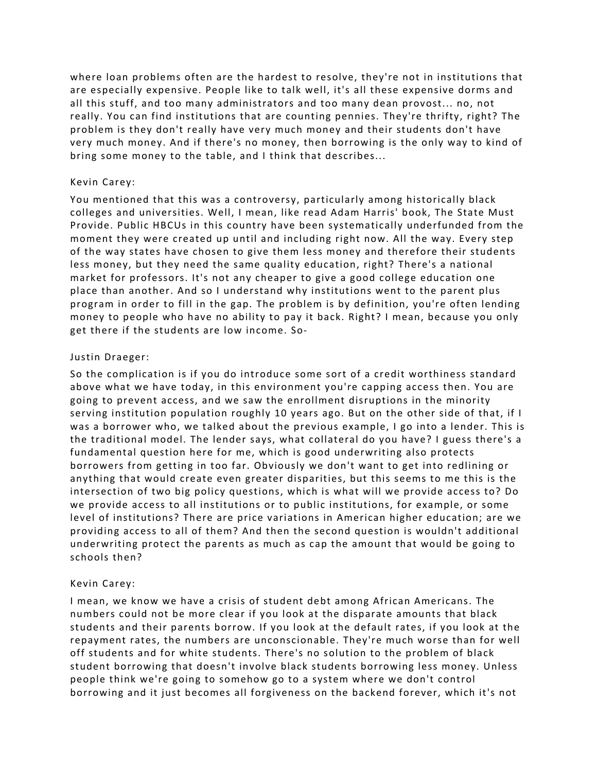where loan problems often are the hardest to resolve, they're not in institutions that are especially expensive. People like to talk well, it's all these expensive dorms and all this stuff, and too many administrators and too many dean provost... no, not really. You can find institutions that are counting pennies. They're thrifty, right? The problem is they don't really have very much money and their students don't have very much money. And if there's no money, then borrowing is the only way to kind of bring some money to the table, and I think that describes...

# Kevin Carey:

You mentioned that this was a controversy, particularly among historically black colleges and universities. Well, I mean, like read Adam Harris' book, The State Must Provide. Public HBCUs in this country have been systematically underfunded from the moment they were created up until and including right now. All the way. Every step of the way states have chosen to give them less money and therefore their students less money, but they need the same quality education, right? There's a national market for professors. It's not any cheaper to give a good college education one place than another. And so I understand why institutions went to the parent plus program in order to fill in the gap. The problem is by definition, you're often lending money to people who have no ability to pay it back. Right? I mean, because you only get there if the students are low income. So-

#### Justin Draeger:

So the complication is if you do introduce some sort of a credit worthiness standard above what we have today, in this environment you're capping access then. You are going to prevent access, and we saw the enrollment disruptions in the minority serving institution population roughly 10 years ago. But on the other side of that, if I was a borrower who, we talked about the previous example, I go into a lender. This is the traditional model. The lender says, what collateral do you have? I guess there's a fundamental question here for me, which is good underwriting also protects borrowers from getting in too far. Obviously we don't want to get into redlining or anything that would create even greater disparities, but this seems to me this is the intersection of two big policy questions, which is what will we provide access to? Do we provide access to all institutions or to public institutions, for example, or some level of institutions? There are price variations in American higher education; are we providing access to all of them? And then the second question is wouldn't additional underwriting protect the parents as much as cap the amount that would be going to schools then?

#### Kevin Carey:

I mean, we know we have a crisis of student debt among African Americans. The numbers could not be more clear if you look at the disparate amounts that black students and their parents borrow. If you look at the default rates, if you look at the repayment rates, the numbers are unconscionable. They're much worse than for well off students and for white students. There's no solution to the problem of black student borrowing that doesn't involve black students borrowing less money. Unless people think we're going to somehow go to a system where we don't control borrowing and it just becomes all forgiveness on the backend forever, which it's not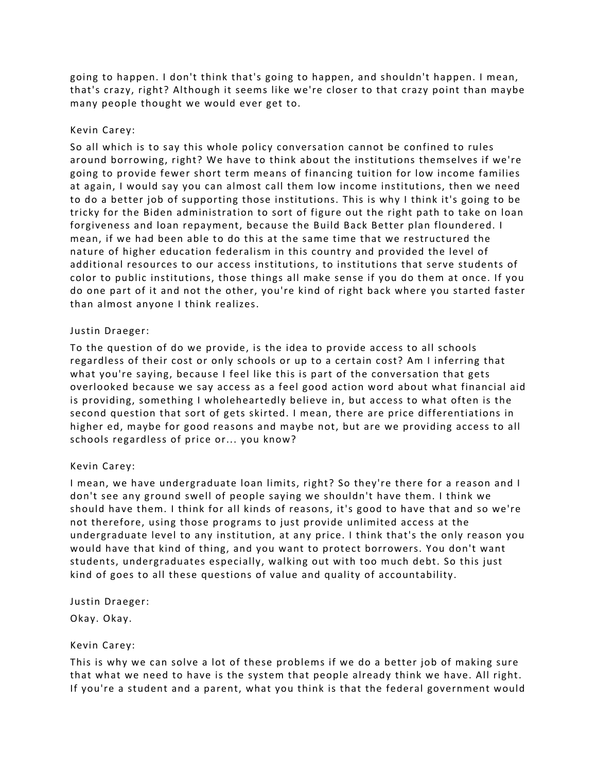going to happen. I don't think that's going to happen, and shouldn't happen. I mean, that's crazy, right? Although it seems like we're closer to that crazy point than maybe many people thought we would ever get to.

## Kevin Carey:

So all which is to say this whole policy conversation cannot be confined to rules around borrowing, right? We have to think about the institutions themselves if we're going to provide fewer short term means of financing tuition for low income families at again, I would say you can almost call them low income institutions, then we need to do a better job of supporting those institutions. This is why I think it's going to be tricky for the Biden administration to sort of figure out the right path to take on loan forgiveness and loan repayment, because the Build Back Better plan floundered. I mean, if we had been able to do this at the same time that we restructured the nature of higher education federalism in this country and provided the level of additional resources to our access institutions, to institutions that serve students of color to public institutions, those things all make sense if you do them at once. If you do one part of it and not the other, you're kind of right back where you started faster than almost anyone I think realizes.

# Justin Draeger:

To the question of do we provide, is the idea to provide access to all schools regardless of their cost or only schools or up to a certain cost? Am I inferring that what you're saying, because I feel like this is part of the conversation that gets overlooked because we say access as a feel good action word about what financial aid is providing, something I wholeheartedly believe in, but access to what often is the second question that sort of gets skirted. I mean, there are price differentiations in higher ed, maybe for good reasons and maybe not, but are we providing access to all schools regardless of price or... you know?

# Kevin Carey:

I mean, we have undergraduate loan limits, right? So they're there for a reason and I don't see any ground swell of people saying we shouldn't have them. I think we should have them. I think for all kinds of reasons, it's good to have that and so we're not therefore, using those programs to just provide unlimited access at the undergraduate level to any institution, at any price. I think that's the only reason you would have that kind of thing, and you want to protect borrowers. You don't want students, undergraduates especially, walking out with too much debt. So this just kind of goes to all these questions of value and quality of accountability.

Justin Draeger:

Okay. Okay.

#### Kevin Carey:

This is why we can solve a lot of these problems if we do a better job of making sure that what we need to have is the system that people already think we have. All right. If you're a student and a parent, what you think is that the federal government would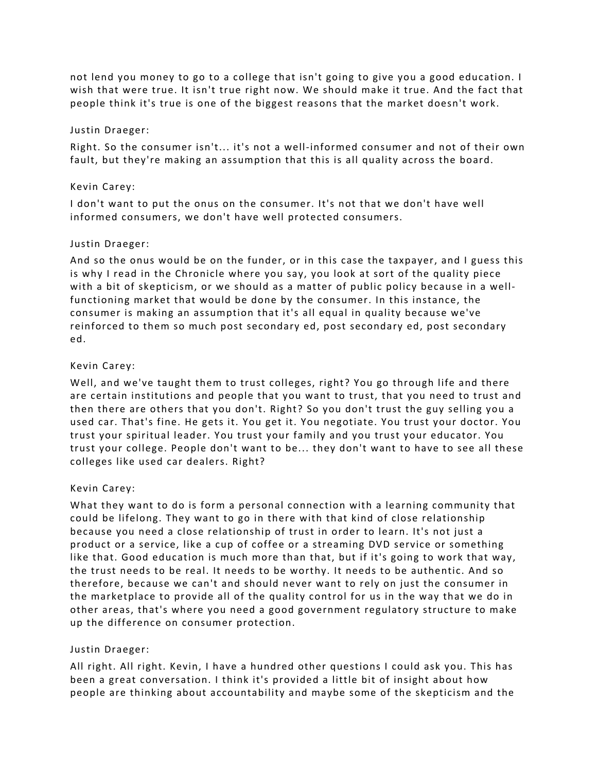not lend you money to go to a college that isn't going to give you a good education. I wish that were true. It isn't true right now. We should make it true. And the fact that people think it's true is one of the biggest reasons that the market doesn't work.

#### Justin Draeger:

Right. So the consumer isn't... it's not a well-informed consumer and not of their own fault, but they're making an assumption that this is all quality across the board.

# Kevin Carey:

I don't want to put the onus on the consumer. It's not that we don't have well informed consumers, we don't have well protected consumers.

# Justin Draeger:

And so the onus would be on the funder, or in this case the taxpayer, and I guess this is why I read in the Chronicle where you say, you look at sort of the quality piece with a bit of skepticism, or we should as a matter of public policy because in a wellfunctioning market that would be done by the consumer. In this instance, the consumer is making an assumption that it's all equal in quality because we've reinforced to them so much post secondary ed, post secondary ed, post secondary ed.

# Kevin Carey:

Well, and we've taught them to trust colleges, right? You go through life and there are certain institutions and people that you want to trust, that you need to trust and then there are others that you don't. Right? So you don't trust the guy selling you a used car. That's fine. He gets it. You get it. You negotiate. You trust your doctor. You trust your spiritual leader. You trust your family and you trust your educator. You trust your college. People don't want to be... they don't want to have to see all these colleges like used car dealers. Right?

# Kevin Carey:

What they want to do is form a personal connection with a learning community that could be lifelong. They want to go in there with that kind of close relationship because you need a close relationship of trust in order to learn. It's not just a product or a service, like a cup of coffee or a streaming DVD service or something like that. Good education is much more than that, but if it's going to work that way, the trust needs to be real. It needs to be worthy. It needs to be authentic. And so therefore, because we can't and should never want to rely on just the consumer in the marketplace to provide all of the quality control for us in the way that we do in other areas, that's where you need a good government regulatory structure to make up the difference on consumer protection.

# Justin Draeger:

All right. All right. Kevin, I have a hundred other questions I could ask you. This has been a great conversation. I think it's provided a little bit of insight about how people are thinking about accountability and maybe some of the skepticism and the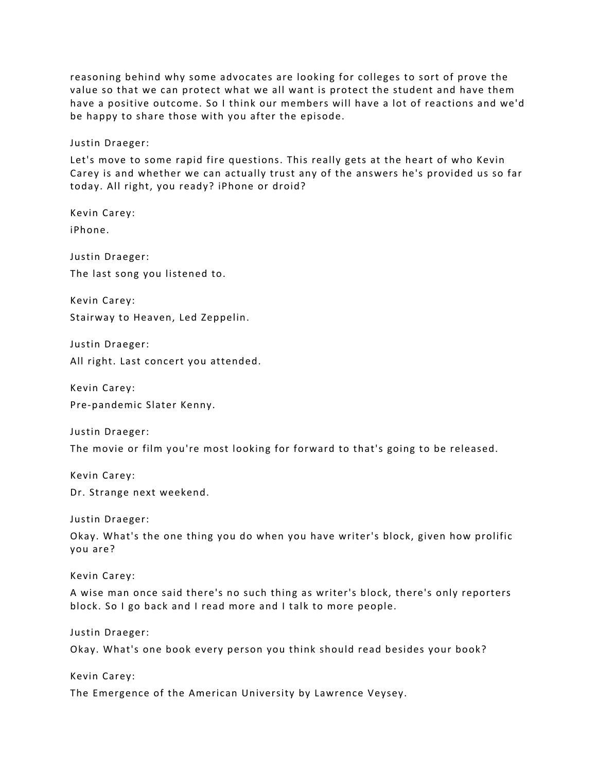reasoning behind why some advocates are looking for colleges to sort of prove the value so that we can protect what we all want is protect the student and have them have a positive outcome. So I think our members will have a lot of reactions and we'd be happy to share those with you after the episode.

Justin Draeger:

Let's move to some rapid fire questions. This really gets at the heart of who Kevin Carey is and whether we can actually trust any of the answers he's provided us so far today. All right, you ready? iPhone or droid?

Kevin Carey: iPhone.

Justin Draeger: The last song you listened to.

Kevin Carey: Stairway to Heaven, Led Zeppelin.

Justin Draeger: All right. Last concert you attended.

Kevin Carey: Pre-pandemic Slater Kenny.

Justin Draeger: The movie or film you're most looking for forward to that's going to be released.

Kevin Carey: Dr. Strange next weekend.

Justin Draeger:

Okay. What's the one thing you do when you have writer's block, given how prolific you are?

Kevin Carey:

A wise man once said there's no such thing as writer's block, there's only reporters block. So I go back and I read more and I talk to more people.

Justin Draeger:

Okay. What's one book every person you think should read besides your book?

Kevin Carey:

The Emergence of the American University by Lawrence Veysey.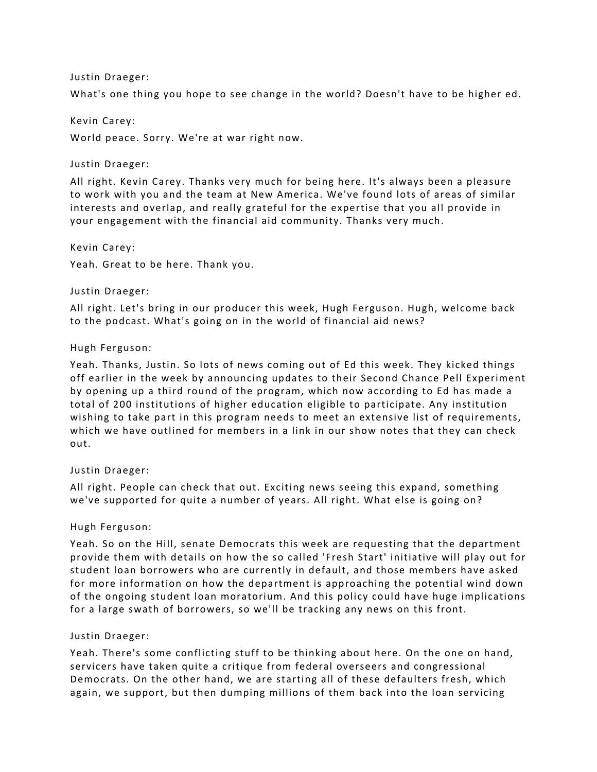#### Justin Draeger:

What's one thing you hope to see change in the world? Doesn't have to be higher ed.

#### Kevin Carey:

World peace. Sorry. We're at war right now.

#### Justin Draeger:

All right. Kevin Carey. Thanks very much for being here. It's always been a pleasure to work with you and the team at New America. We've found lots of areas of similar interests and overlap, and really grateful for the expertise that you all provide in your engagement with the financial aid community. Thanks very much.

Kevin Carey: Yeah. Great to be here. Thank you.

#### Justin Draeger:

All right. Let's bring in our producer this week, Hugh Ferguson. Hugh, welcome back to the podcast. What's going on in the world of financial aid news?

#### Hugh Ferguson:

Yeah. Thanks, Justin. So lots of news coming out of Ed this week. They kicked things off earlier in the week by announcing updates to their Second Chance Pell Experiment by opening up a third round of the program, which now according to Ed has made a total of 200 institutions of higher education eligible to participate. Any institution wishing to take part in this program needs to meet an extensive list of requirements, which we have outlined for members in a link in our show notes that they can check out.

#### Justin Draeger:

All right. People can check that out. Exciting news seeing this expand, something we've supported for quite a number of years. All right. What else is going on?

#### Hugh Ferguson:

Yeah. So on the Hill, senate Democrats this week are requesting that the department provide them with details on how the so called 'Fresh Start' initiative will play out for student loan borrowers who are currently in default, and those members have asked for more information on how the department is approaching the potential wind down of the ongoing student loan moratorium. And this policy could have huge implications for a large swath of borrowers, so we'll be tracking any news on this front.

#### Justin Draeger:

Yeah. There's some conflicting stuff to be thinking about here. On the one on hand, servicers have taken quite a critique from federal overseers and congressional Democrats. On the other hand, we are starting all of these defaulters fresh, which again, we support, but then dumping millions of them back into the loan servicing